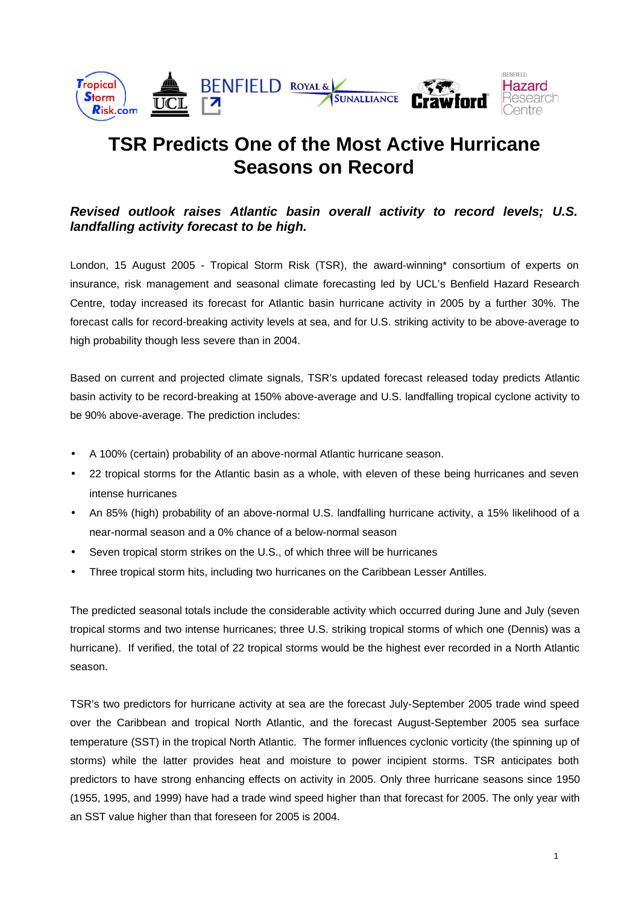

# **TSR Predicts One of the Most Active Hurricane Seasons on Record**

# **Revised outlook raises Atlantic basin overall activity to record levels; U.S. landfalling activity forecast to be high.**

London, 15 August 2005 - Tropical Storm Risk (TSR), the award-winning\* consortium of experts on insurance, risk management and seasonal climate forecasting led by UCL's Benfield Hazard Research Centre, today increased its forecast for Atlantic basin hurricane activity in 2005 by a further 30%. The forecast calls for record-breaking activity levels at sea, and for U.S. striking activity to be above-average to high probability though less severe than in 2004.

Based on current and projected climate signals, TSR's updated forecast released today predicts Atlantic basin activity to be record-breaking at 150% above-average and U.S. landfalling tropical cyclone activity to be 90% above-average. The prediction includes:

- A 100% (certain) probability of an above-normal Atlantic hurricane season.
- 22 tropical storms for the Atlantic basin as a whole, with eleven of these being hurricanes and seven intense hurricanes
- An 85% (high) probability of an above-normal U.S. landfalling hurricane activity, a 15% likelihood of a near-normal season and a 0% chance of a below-normal season
- Seven tropical storm strikes on the U.S., of which three will be hurricanes
- Three tropical storm hits, including two hurricanes on the Caribbean Lesser Antilles.

The predicted seasonal totals include the considerable activity which occurred during June and July (seven tropical storms and two intense hurricanes; three U.S. striking tropical storms of which one (Dennis) was a hurricane). If verified, the total of 22 tropical storms would be the highest ever recorded in a North Atlantic season.

TSR's two predictors for hurricane activity at sea are the forecast July-September 2005 trade wind speed over the Caribbean and tropical North Atlantic, and the forecast August-September 2005 sea surface temperature (SST) in the tropical North Atlantic. The former influences cyclonic vorticity (the spinning up of storms) while the latter provides heat and moisture to power incipient storms. TSR anticipates both predictors to have strong enhancing effects on activity in 2005. Only three hurricane seasons since 1950 (1955, 1995, and 1999) have had a trade wind speed higher than that forecast for 2005. The only year with an SST value higher than that foreseen for 2005 is 2004.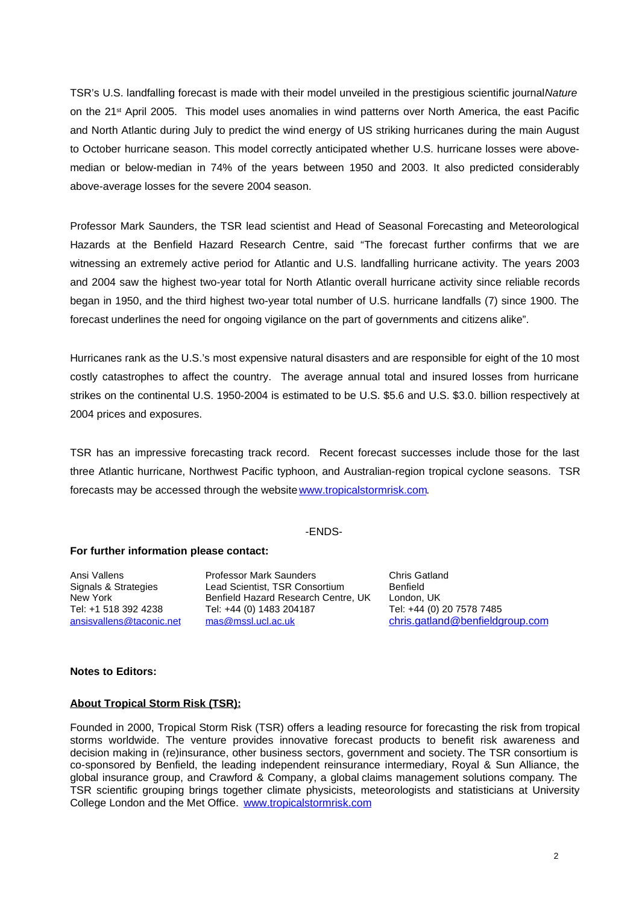TSR's U.S. landfalling forecast is made with their model unveiled in the prestigious scientific journal Nature on the 21<sup>st</sup> April 2005. This model uses anomalies in wind patterns over North America, the east Pacific and North Atlantic during July to predict the wind energy of US striking hurricanes during the main August to October hurricane season. This model correctly anticipated whether U.S. hurricane losses were abovemedian or below-median in 74% of the years between 1950 and 2003. It also predicted considerably above-average losses for the severe 2004 season.

Professor Mark Saunders, the TSR lead scientist and Head of Seasonal Forecasting and Meteorological Hazards at the Benfield Hazard Research Centre, said "The forecast further confirms that we are witnessing an extremely active period for Atlantic and U.S. landfalling hurricane activity. The years 2003 and 2004 saw the highest two-year total for North Atlantic overall hurricane activity since reliable records began in 1950, and the third highest two-year total number of U.S. hurricane landfalls (7) since 1900. The forecast underlines the need for ongoing vigilance on the part of governments and citizens alike".

Hurricanes rank as the U.S.'s most expensive natural disasters and are responsible for eight of the 10 most costly catastrophes to affect the country. The average annual total and insured losses from hurricane strikes on the continental U.S. 1950-2004 is estimated to be U.S. \$5.6 and U.S. \$3.0. billion respectively at 2004 prices and exposures.

TSR has an impressive forecasting track record. Recent forecast successes include those for the last three Atlantic hurricane, Northwest Pacific typhoon, and Australian-region tropical cyclone seasons. TSR forecasts may be accessed through the website www.tropicalstormrisk.com.

#### -ENDS-

#### **For further information please contact:**

Ansi Vallens Professor Mark Saunders Chris Gatland Tel: +1 518 392 4238 Tel: +44 (0) 1483 204187<br>
<u>ansisvallens@taconic.net</u> mas@mssl.ucl.ac.uk

Signals & Strategies Lead Scientist, TSR Consortium Benfield<br>New York Benfield Hazard Research Centre. UK London. UK Benfield Hazard Research Centre, UK London, UK<br>Tel: +44 (0) 1483 204187 Tel: +44 (0) 20 7578 7485

ansisvallens@taconic.net mas@mssl.ucl.ac.uk chris.gatland@benfieldgroup.com

#### **Notes to Editors:**

#### **About Tropical Storm Risk (TSR):**

Founded in 2000, Tropical Storm Risk (TSR) offers a leading resource for forecasting the risk from tropical storms worldwide. The venture provides innovative forecast products to benefit risk awareness and decision making in (re)insurance, other business sectors, government and society. The TSR consortium is co-sponsored by Benfield, the leading independent reinsurance intermediary, Royal & Sun Alliance, the global insurance group, and Crawford & Company, a global claims management solutions company. The TSR scientific grouping brings together climate physicists, meteorologists and statisticians at University College London and the Met Office. www.tropicalstormrisk.com